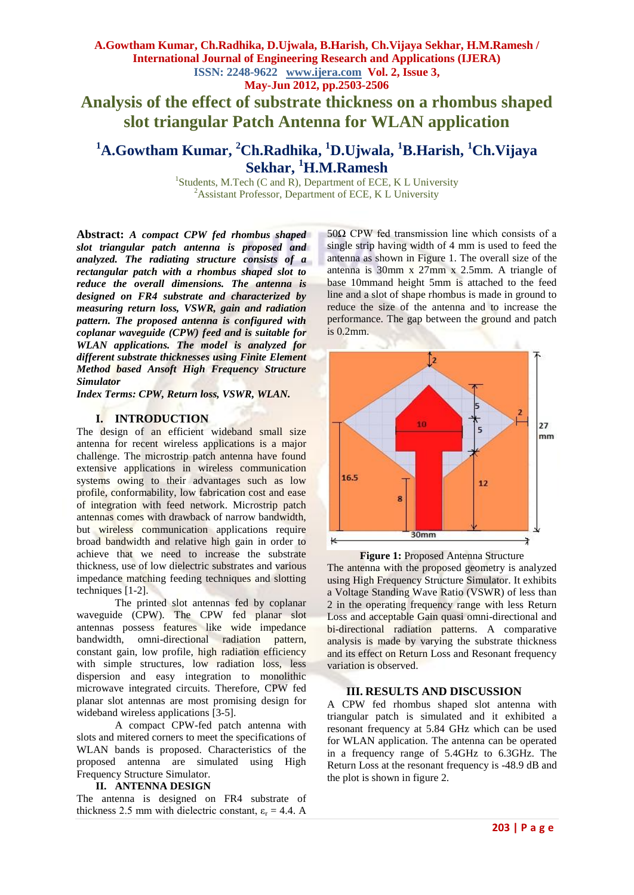**Analysis of the effect of substrate thickness on a rhombus shaped slot triangular Patch Antenna for WLAN application**

# **<sup>1</sup>A.Gowtham Kumar, <sup>2</sup>Ch.Radhika, <sup>1</sup>D.Ujwala, <sup>1</sup>B.Harish, <sup>1</sup>Ch.Vijaya Sekhar, <sup>1</sup>H.M.Ramesh**

<sup>1</sup>Students, M.Tech (C and R), Department of ECE, K L University <sup>2</sup>Assistant Professor, Department of ECE, K L University

**Abstract:** *A compact CPW fed rhombus shaped slot triangular patch antenna is proposed and analyzed. The radiating structure consists of a rectangular patch with a rhombus shaped slot to reduce the overall dimensions. The antenna is designed on FR4 substrate and characterized by measuring return loss, VSWR, gain and radiation pattern. The proposed antenna is configured with coplanar waveguide (CPW) feed and is suitable for WLAN applications. The model is analyzed for different substrate thicknesses using Finite Element Method based Ansoft High Frequency Structure Simulator* 

*Index Terms: CPW, Return loss, VSWR, WLAN.*

#### **I. INTRODUCTION**

The design of an efficient wideband small size antenna for recent wireless applications is a major challenge. The microstrip patch antenna have found extensive applications in wireless communication systems owing to their advantages such as low profile, conformability, low fabrication cost and ease of integration with feed network. Microstrip patch antennas comes with drawback of narrow bandwidth, but wireless communication applications require broad bandwidth and relative high gain in order to achieve that we need to increase the substrate thickness, use of low dielectric substrates and various impedance matching feeding techniques and slotting techniques [1-2].

The printed slot antennas fed by coplanar waveguide (CPW). The CPW fed planar slot antennas possess features like wide impedance bandwidth, omni-directional radiation pattern, constant gain, low profile, high radiation efficiency with simple structures, low radiation loss, less dispersion and easy integration to monolithic microwave integrated circuits. Therefore, CPW fed planar slot antennas are most promising design for wideband wireless applications [3-5].

A compact CPW-fed patch antenna with slots and mitered corners to meet the specifications of WLAN bands is proposed. Characteristics of the proposed antenna are simulated using High Frequency Structure Simulator.

#### **II. ANTENNA DESIGN**

The antenna is designed on FR4 substrate of thickness 2.5 mm with dielectric constant,  $\varepsilon_r = 4.4$ . A 50Ω CPW fed transmission line which consists of a single strip having width of 4 mm is used to feed the antenna as shown in Figure 1. The overall size of the antenna is 30mm x 27mm x 2.5mm. A triangle of base 10mmand height 5mm is attached to the feed line and a slot of shape rhombus is made in ground to reduce the size of the antenna and to increase the performance. The gap between the ground and patch is 0.2mm.



**Figure 1: Proposed Antenna Structure** 

The antenna with the proposed geometry is analyzed using High Frequency Structure Simulator. It exhibits a Voltage Standing Wave Ratio (VSWR) of less than 2 in the operating frequency range with less Return Loss and acceptable Gain quasi omni-directional and bi-directional radiation patterns. A comparative analysis is made by varying the substrate thickness and its effect on Return Loss and Resonant frequency variation is observed.

#### **III. RESULTS AND DISCUSSION**

A CPW fed rhombus shaped slot antenna with triangular patch is simulated and it exhibited a resonant frequency at 5.84 GHz which can be used for WLAN application. The antenna can be operated in a frequency range of 5.4GHz to 6.3GHz. The Return Loss at the resonant frequency is -48.9 dB and the plot is shown in figure 2.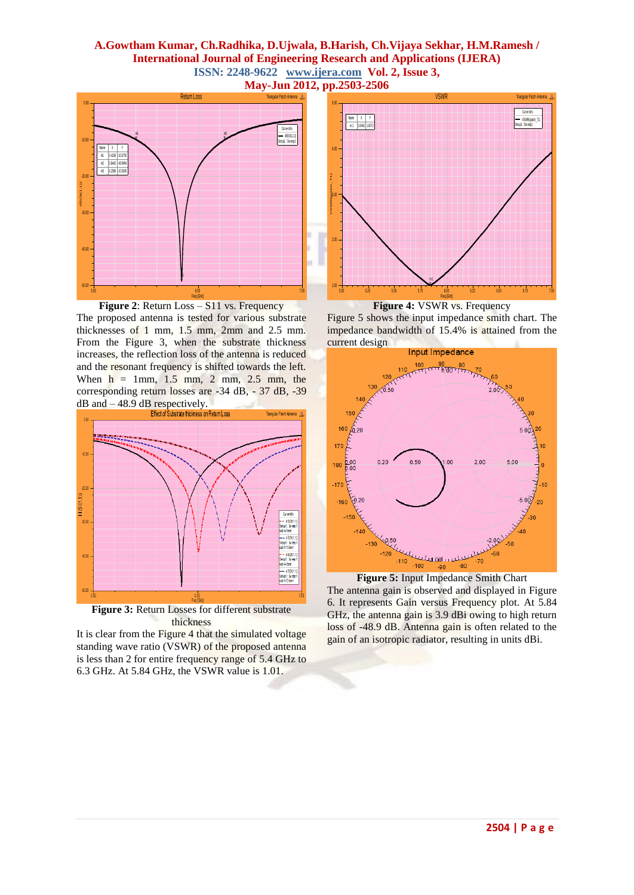## **A.Gowtham Kumar, Ch.Radhika, D.Ujwala, B.Harish, Ch.Vijaya Sekhar, H.M.Ramesh / International Journal of Engineering Research and Applications (IJERA) ISSN: 2248-9622 www.ijera.com Vol. 2, Issue 3, May-Jun 2012, pp.2503-2506**



Figure 2: Return Loss – S11 vs. Frequency The proposed antenna is tested for various substrate thicknesses of 1 mm, 1.5 mm, 2mm and 2.5 mm. From the Figure 3, when the substrate thickness increases, the reflection loss of the antenna is reduced and the resonant frequency is shifted towards the left. When  $h = 1$ mm,  $1.5$  mm,  $2$  mm,  $2.5$  mm, the corresponding return losses are -34 dB, - 37 dB, -39  $dB$  and  $-48.9$  dB respectively.





It is clear from the Figure 4 that the simulated voltage standing wave ratio (VSWR) of the proposed antenna is less than 2 for entire frequency range of 5.4 GHz to 6.3 GHz. At 5.84 GHz, the VSWR value is 1.01.



**Figure 4:** VSWR vs. Frequency Figure 5 shows the input impedance smith chart. The impedance bandwidth of 15.4% is attained from the current design



**Figure 5:** Input Impedance Smith Chart The antenna gain is observed and displayed in Figure 6. It represents Gain versus Frequency plot. At 5.84 GHz, the antenna gain is 3.9 dBi owing to high return loss of -48.9 dB. Antenna gain is often related to the gain of an isotropic radiator, resulting in units dBi.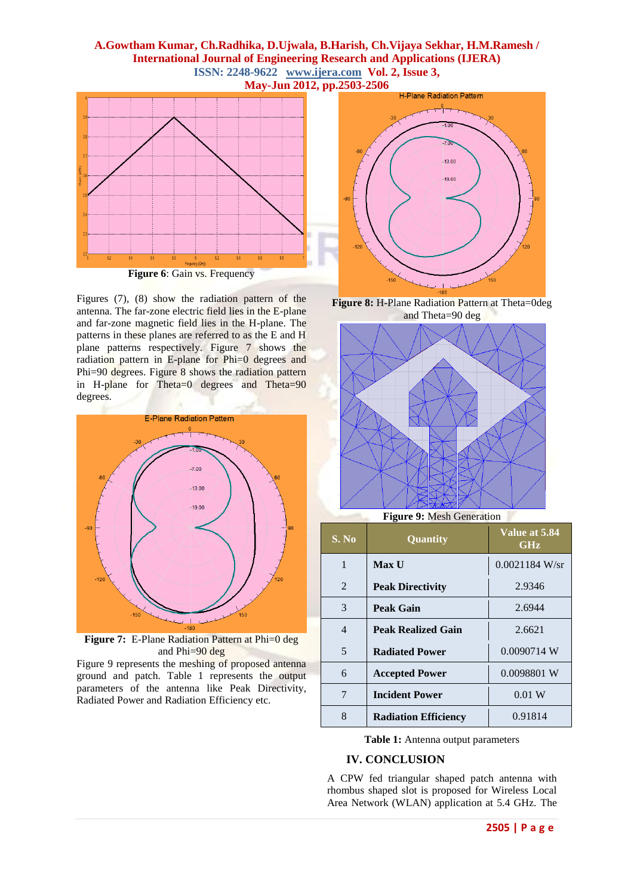## **A.Gowtham Kumar, Ch.Radhika, D.Ujwala, B.Harish, Ch.Vijaya Sekhar, H.M.Ramesh / International Journal of Engineering Research and Applications (IJERA) ISSN: 2248-9622 www.ijera.com Vol. 2, Issue 3, May-Jun 2012, pp.2503-2506**



Figures (7), (8) show the radiation pattern of the antenna. The far-zone electric field lies in the E-plane and far-zone magnetic field lies in the H-plane. The patterns in these planes are referred to as the E and H plane patterns respectively. Figure 7 shows the radiation pattern in E-plane for Phi=0 degrees and Phi=90 degrees. Figure 8 shows the radiation pattern in H-plane for Theta=0 degrees and Theta=90 degrees.



**Figure 7:** E-Plane Radiation Pattern at Phi=0 deg and Phi=90 deg

Figure 9 represents the meshing of proposed antenna ground and patch. Table 1 represents the output parameters of the antenna like Peak Directivity, Radiated Power and Radiation Efficiency etc.



**Figure 8:** H-Plane Radiation Pattern at Theta=0deg and Theta=90 deg



**Figure 9:** Mesh Generation

| S. No | Quantity                    | Value at 5.84<br>GHz |
|-------|-----------------------------|----------------------|
| 1     | <b>Max U</b>                | $0.0021184$ W/sr     |
| 2     | <b>Peak Directivity</b>     | 2.9346               |
| 3     | Peak Gain                   | 2.6944               |
| 4     | <b>Peak Realized Gain</b>   | 2.6621               |
| 5     | <b>Radiated Power</b>       | 0.0090714 W          |
| 6     | <b>Accepted Power</b>       | 0.0098801 W          |
| 7     | <b>Incident Power</b>       | 0.01 W               |
| 8     | <b>Radiation Efficiency</b> | 0.91814              |

**Table 1:** Antenna output parameters

## **IV. CONCLUSION**

A CPW fed triangular shaped patch antenna with rhombus shaped slot is proposed for Wireless Local Area Network (WLAN) application at 5.4 GHz. The